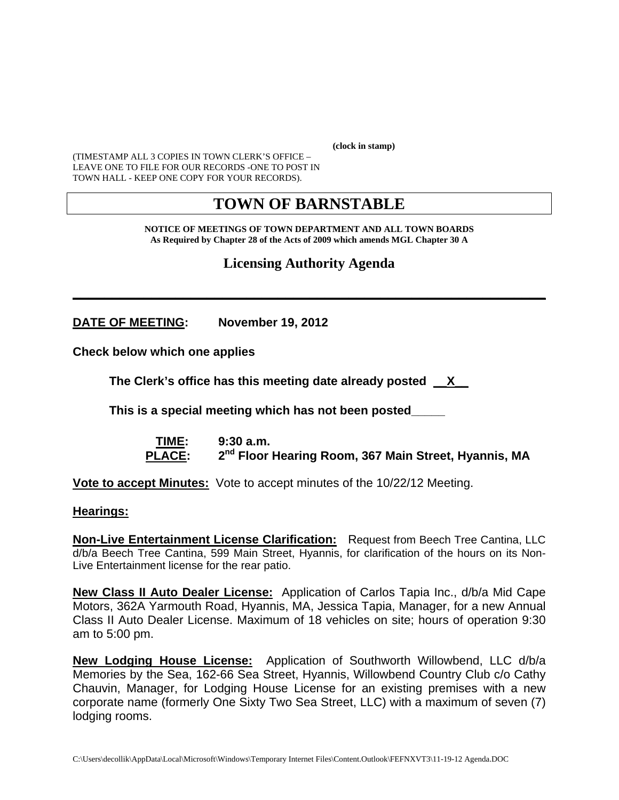**(clock in stamp)** 

(TIMESTAMP ALL 3 COPIES IN TOWN CLERK'S OFFICE – LEAVE ONE TO FILE FOR OUR RECORDS -ONE TO POST IN TOWN HALL - KEEP ONE COPY FOR YOUR RECORDS).

# **TOWN OF BARNSTABLE**

**NOTICE OF MEETINGS OF TOWN DEPARTMENT AND ALL TOWN BOARDS As Required by Chapter 28 of the Acts of 2009 which amends MGL Chapter 30 A** 

**Licensing Authority Agenda**

**\_\_\_\_\_\_\_\_\_\_\_\_\_\_\_\_\_\_\_\_\_\_\_\_\_\_\_\_\_\_\_\_\_\_\_\_\_\_\_\_\_\_\_\_\_\_\_\_\_\_\_\_\_\_\_\_\_\_\_\_**

**DATE OF MEETING: November 19, 2012** 

**Check below which one applies** 

**The Clerk's office has this meeting date already posted \_\_X\_\_**

 **This is a special meeting which has not been posted\_\_\_\_\_** 

 **TIME: 9:30 a.m.**  PLACE: 2<sup>nd</sup> Floor Hearing Room, 367 Main Street, Hyannis, MA

**Vote to accept Minutes:** Vote to accept minutes of the 10/22/12 Meeting.

**Hearings:**

**Non-Live Entertainment License Clarification:** Request from Beech Tree Cantina, LLC d/b/a Beech Tree Cantina, 599 Main Street, Hyannis, for clarification of the hours on its Non-Live Entertainment license for the rear patio.

**New Class II Auto Dealer License:** Application of Carlos Tapia Inc., d/b/a Mid Cape Motors, 362A Yarmouth Road, Hyannis, MA, Jessica Tapia, Manager, for a new Annual Class II Auto Dealer License. Maximum of 18 vehicles on site; hours of operation 9:30 am to 5:00 pm.

**New Lodging House License:** Application of Southworth Willowbend, LLC d/b/a Memories by the Sea, 162-66 Sea Street, Hyannis, Willowbend Country Club c/o Cathy Chauvin, Manager, for Lodging House License for an existing premises with a new corporate name (formerly One Sixty Two Sea Street, LLC) with a maximum of seven (7) lodging rooms.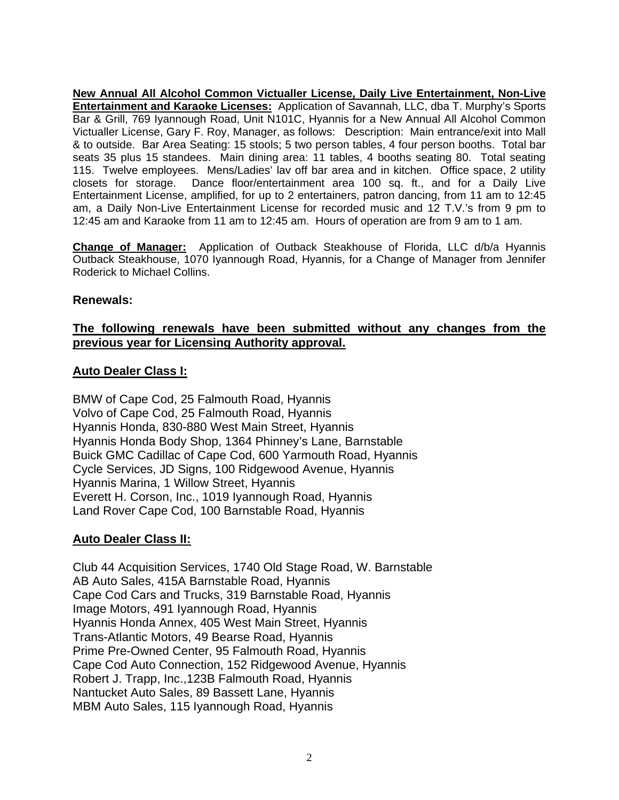**New Annual All Alcohol Common Victualler License, Daily Live Entertainment, Non-Live Entertainment and Karaoke Licenses:** Application of Savannah, LLC, dba T. Murphy's Sports Bar & Grill, 769 Iyannough Road, Unit N101C, Hyannis for a New Annual All Alcohol Common Victualler License, Gary F. Roy, Manager, as follows: Description: Main entrance/exit into Mall & to outside. Bar Area Seating: 15 stools; 5 two person tables, 4 four person booths. Total bar seats 35 plus 15 standees. Main dining area: 11 tables, 4 booths seating 80. Total seating 115. Twelve employees. Mens/Ladies' lav off bar area and in kitchen. Office space, 2 utility closets for storage. Dance floor/entertainment area 100 sq. ft., and for a Daily Live Entertainment License, amplified, for up to 2 entertainers, patron dancing, from 11 am to 12:45 am, a Daily Non-Live Entertainment License for recorded music and 12 T.V.'s from 9 pm to 12:45 am and Karaoke from 11 am to 12:45 am. Hours of operation are from 9 am to 1 am.

**Change of Manager:** Application of Outback Steakhouse of Florida, LLC d/b/a Hyannis Outback Steakhouse, 1070 Iyannough Road, Hyannis, for a Change of Manager from Jennifer Roderick to Michael Collins.

#### **Renewals:**

# **The following renewals have been submitted without any changes from the previous year for Licensing Authority approval.**

#### **Auto Dealer Class I:**

BMW of Cape Cod, 25 Falmouth Road, Hyannis Volvo of Cape Cod, 25 Falmouth Road, Hyannis Hyannis Honda, 830-880 West Main Street, Hyannis Hyannis Honda Body Shop, 1364 Phinney's Lane, Barnstable Buick GMC Cadillac of Cape Cod, 600 Yarmouth Road, Hyannis Cycle Services, JD Signs, 100 Ridgewood Avenue, Hyannis Hyannis Marina, 1 Willow Street, Hyannis Everett H. Corson, Inc., 1019 Iyannough Road, Hyannis Land Rover Cape Cod, 100 Barnstable Road, Hyannis

#### **Auto Dealer Class II:**

Club 44 Acquisition Services, 1740 Old Stage Road, W. Barnstable AB Auto Sales, 415A Barnstable Road, Hyannis Cape Cod Cars and Trucks, 319 Barnstable Road, Hyannis Image Motors, 491 Iyannough Road, Hyannis Hyannis Honda Annex, 405 West Main Street, Hyannis Trans-Atlantic Motors, 49 Bearse Road, Hyannis Prime Pre-Owned Center, 95 Falmouth Road, Hyannis Cape Cod Auto Connection, 152 Ridgewood Avenue, Hyannis Robert J. Trapp, Inc.,123B Falmouth Road, Hyannis Nantucket Auto Sales, 89 Bassett Lane, Hyannis MBM Auto Sales, 115 Iyannough Road, Hyannis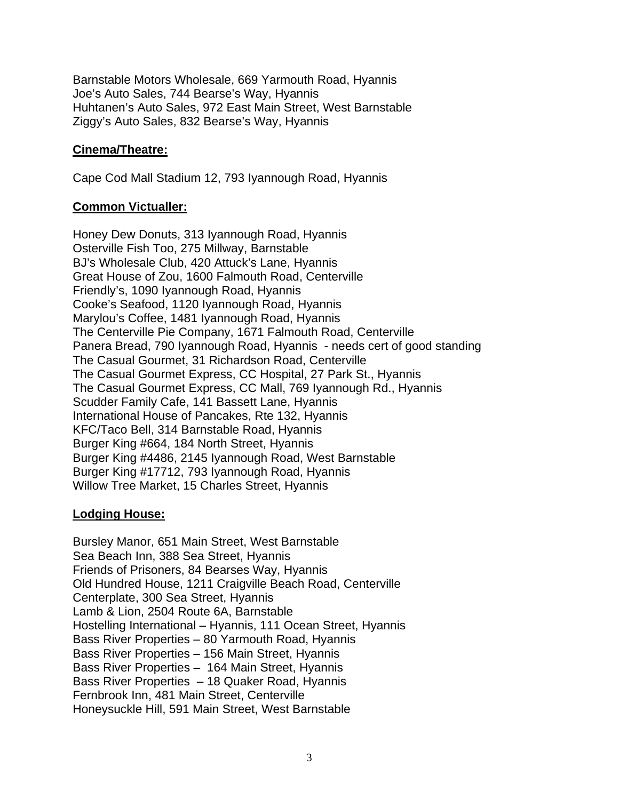Barnstable Motors Wholesale, 669 Yarmouth Road, Hyannis Joe's Auto Sales, 744 Bearse's Way, Hyannis Huhtanen's Auto Sales, 972 East Main Street, West Barnstable Ziggy's Auto Sales, 832 Bearse's Way, Hyannis

# **Cinema/Theatre:**

Cape Cod Mall Stadium 12, 793 Iyannough Road, Hyannis

# **Common Victualler:**

Honey Dew Donuts, 313 Iyannough Road, Hyannis Osterville Fish Too, 275 Millway, Barnstable BJ's Wholesale Club, 420 Attuck's Lane, Hyannis Great House of Zou, 1600 Falmouth Road, Centerville Friendly's, 1090 Iyannough Road, Hyannis Cooke's Seafood, 1120 Iyannough Road, Hyannis Marylou's Coffee, 1481 Iyannough Road, Hyannis The Centerville Pie Company, 1671 Falmouth Road, Centerville Panera Bread, 790 Iyannough Road, Hyannis - needs cert of good standing The Casual Gourmet, 31 Richardson Road, Centerville The Casual Gourmet Express, CC Hospital, 27 Park St., Hyannis The Casual Gourmet Express, CC Mall, 769 Iyannough Rd., Hyannis Scudder Family Cafe, 141 Bassett Lane, Hyannis International House of Pancakes, Rte 132, Hyannis KFC/Taco Bell, 314 Barnstable Road, Hyannis Burger King #664, 184 North Street, Hyannis Burger King #4486, 2145 Iyannough Road, West Barnstable Burger King #17712, 793 Iyannough Road, Hyannis Willow Tree Market, 15 Charles Street, Hyannis

# **Lodging House:**

Bursley Manor, 651 Main Street, West Barnstable Sea Beach Inn, 388 Sea Street, Hyannis Friends of Prisoners, 84 Bearses Way, Hyannis Old Hundred House, 1211 Craigville Beach Road, Centerville Centerplate, 300 Sea Street, Hyannis Lamb & Lion, 2504 Route 6A, Barnstable Hostelling International – Hyannis, 111 Ocean Street, Hyannis Bass River Properties – 80 Yarmouth Road, Hyannis Bass River Properties – 156 Main Street, Hyannis Bass River Properties – 164 Main Street, Hyannis Bass River Properties – 18 Quaker Road, Hyannis Fernbrook Inn, 481 Main Street, Centerville Honeysuckle Hill, 591 Main Street, West Barnstable